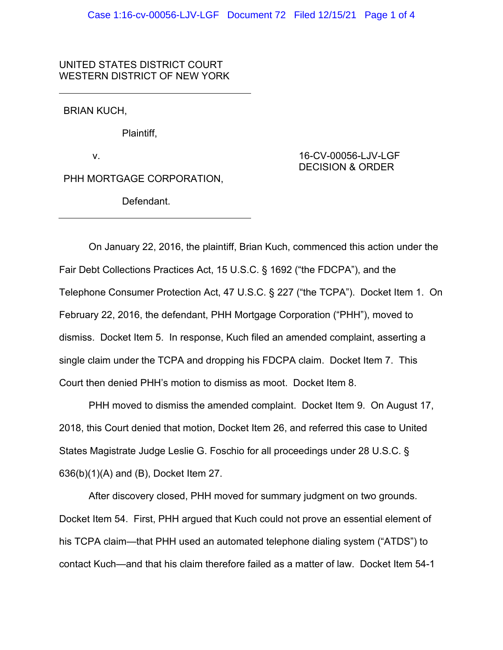## UNITED STATES DISTRICT COURT WESTERN DISTRICT OF NEW YORK

BRIAN KUCH,

Plaintiff,

v.

PHH MORTGAGE CORPORATION,

Defendant.

16-CV-00056-LJV-LGF DECISION & ORDER

On January 22, 2016, the plaintiff, Brian Kuch, commenced this action under the Fair Debt Collections Practices Act, 15 U.S.C. § 1692 ("the FDCPA"), and the Telephone Consumer Protection Act, 47 U.S.C. § 227 ("the TCPA"). Docket Item 1. On February 22, 2016, the defendant, PHH Mortgage Corporation ("PHH"), moved to dismiss. Docket Item 5. In response, Kuch filed an amended complaint, asserting a single claim under the TCPA and dropping his FDCPA claim. Docket Item 7. This Court then denied PHH's motion to dismiss as moot. Docket Item 8.

PHH moved to dismiss the amended complaint. Docket Item 9. On August 17, 2018, this Court denied that motion, Docket Item 26, and referred this case to United States Magistrate Judge Leslie G. Foschio for all proceedings under 28 U.S.C. § 636(b)(1)(A) and (B), Docket Item 27.

After discovery closed, PHH moved for summary judgment on two grounds. Docket Item 54. First, PHH argued that Kuch could not prove an essential element of his TCPA claim—that PHH used an automated telephone dialing system ("ATDS") to contact Kuch—and that his claim therefore failed as a matter of law. Docket Item 54-1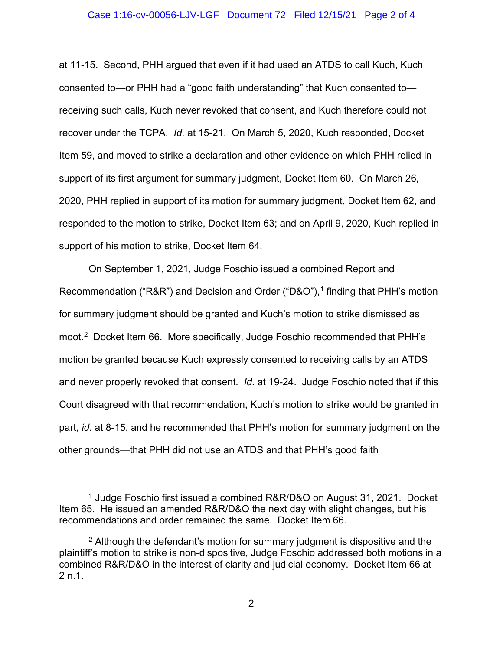## Case 1:16-cv-00056-LJV-LGF Document 72 Filed 12/15/21 Page 2 of 4

at 11-15. Second, PHH argued that even if it had used an ATDS to call Kuch, Kuch consented to—or PHH had a "good faith understanding" that Kuch consented to receiving such calls, Kuch never revoked that consent, and Kuch therefore could not recover under the TCPA. *Id.* at 15-21. On March 5, 2020, Kuch responded, Docket Item 59, and moved to strike a declaration and other evidence on which PHH relied in support of its first argument for summary judgment, Docket Item 60. On March 26, 2020, PHH replied in support of its motion for summary judgment, Docket Item 62, and responded to the motion to strike, Docket Item 63; and on April 9, 2020, Kuch replied in support of his motion to strike, Docket Item 64.

On September 1, 2021, Judge Foschio issued a combined Report and Recommendation ("R&R") and Decision and Order ("D&O"), <sup>1</sup> finding that PHH's motion for summary judgment should be granted and Kuch's motion to strike dismissed as moot.2 Docket Item 66. More specifically, Judge Foschio recommended that PHH's motion be granted because Kuch expressly consented to receiving calls by an ATDS and never properly revoked that consent. *Id.* at 19-24. Judge Foschio noted that if this Court disagreed with that recommendation, Kuch's motion to strike would be granted in part, *id.* at 8-15, and he recommended that PHH's motion for summary judgment on the other grounds—that PHH did not use an ATDS and that PHH's good faith

<sup>&</sup>lt;sup>1</sup> Judge Foschio first issued a combined R&R/D&O on August 31, 2021. Docket Item 65. He issued an amended R&R/D&O the next day with slight changes, but his recommendations and order remained the same. Docket Item 66.

 $2$  Although the defendant's motion for summary judgment is dispositive and the plaintiff's motion to strike is non-dispositive, Judge Foschio addressed both motions in a combined R&R/D&O in the interest of clarity and judicial economy. Docket Item 66 at 2 n.1.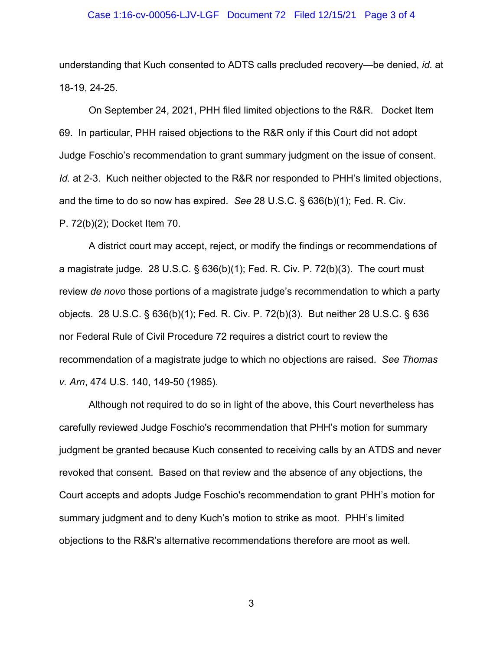## Case 1:16-cv-00056-LJV-LGF Document 72 Filed 12/15/21 Page 3 of 4

understanding that Kuch consented to ADTS calls precluded recovery—be denied, *id.* at 18-19, 24-25.

On September 24, 2021, PHH filed limited objections to the R&R. Docket Item 69. In particular, PHH raised objections to the R&R only if this Court did not adopt Judge Foschio's recommendation to grant summary judgment on the issue of consent. *Id.* at 2-3. Kuch neither objected to the R&R nor responded to PHH's limited objections, and the time to do so now has expired. *See* 28 U.S.C. § 636(b)(1); Fed. R. Civ. P. 72(b)(2); Docket Item 70.

A district court may accept, reject, or modify the findings or recommendations of a magistrate judge. 28 U.S.C. § 636(b)(1); Fed. R. Civ. P. 72(b)(3). The court must review *de novo* those portions of a magistrate judge's recommendation to which a party objects. 28 U.S.C. § 636(b)(1); Fed. R. Civ. P. 72(b)(3). But neither 28 U.S.C. § 636 nor Federal Rule of Civil Procedure 72 requires a district court to review the recommendation of a magistrate judge to which no objections are raised. *See Thomas v. Arn*, 474 U.S. 140, 149-50 (1985).

Although not required to do so in light of the above, this Court nevertheless has carefully reviewed Judge Foschio's recommendation that PHH's motion for summary judgment be granted because Kuch consented to receiving calls by an ATDS and never revoked that consent. Based on that review and the absence of any objections, the Court accepts and adopts Judge Foschio's recommendation to grant PHH's motion for summary judgment and to deny Kuch's motion to strike as moot. PHH's limited objections to the R&R's alternative recommendations therefore are moot as well.

3